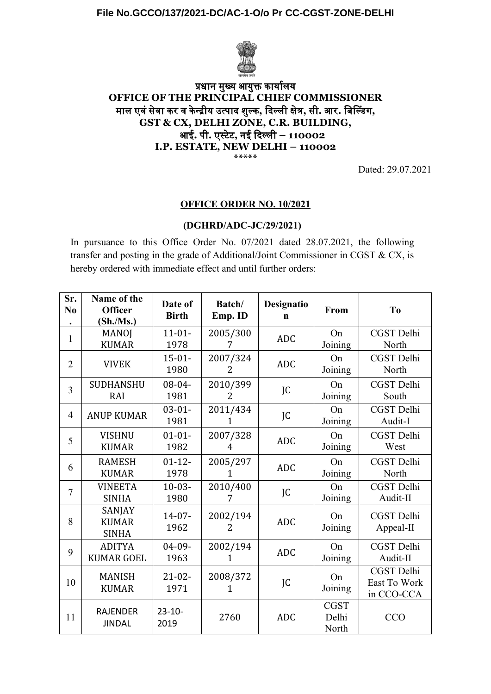

## प्रधान मुख्य आयुक्त कार्यालय **OFFICE OF THE PRINCIPAL CHIEF COMMISSIONER** मुल एवंसेवं कार वं कान्द्रीय उत्पाद शुल्का**,** दिल्ली क्षेत्र**,** से**.** आर**.** बि!ल्डिंग**, GST & CX, DELHI ZONE, C.R. BUILDING,** आई**.** पा**.** एस्टेटे**,** नई दिल्ली **– 110002 I.P. ESTATE, NEW DELHI – 110002 \*\*\*\*\***

Dated: 29.07.2021

## **OFFICE ORDER NO. 10/2021**

## **(DGHRD/ADC-JC/29/2021)**

In pursuance to this Office Order No. 07/2021 dated 28.07.2021, the following transfer and posting in the grade of Additional/Joint Commissioner in CGST & CX, is hereby ordered with immediate effect and until further orders:

| Sr.<br>N <sub>0</sub><br>$\bullet$ | Name of the<br><b>Officer</b><br>(Sh/Ms.) | Date of<br><b>Birth</b> | Batch/<br>Emp. ID | Designatio<br>$\mathbf n$ | From                          | T <sub>0</sub>                           |
|------------------------------------|-------------------------------------------|-------------------------|-------------------|---------------------------|-------------------------------|------------------------------------------|
| 1                                  | <b>MANOJ</b><br><b>KUMAR</b>              | $11 - 01 -$<br>1978     | 2005/300<br>7     | <b>ADC</b>                | On<br>Joining                 | CGST Delhi<br>North                      |
| $\overline{2}$                     | <b>VIVEK</b>                              | $15 - 01 -$<br>1980     | 2007/324<br>2     | <b>ADC</b>                | On<br>Joining                 | CGST Delhi<br>North                      |
| $\overline{3}$                     | <b>SUDHANSHU</b><br>RAI                   | $08 - 04 -$<br>1981     | 2010/399<br>2     | JC                        | On<br>Joining                 | CGST Delhi<br>South                      |
| $\overline{4}$                     | <b>ANUP KUMAR</b>                         | $03 - 01 -$<br>1981     | 2011/434<br>1     | JC                        | On<br>Joining                 | CGST Delhi<br>Audit-I                    |
| 5                                  | <b>VISHNU</b><br><b>KUMAR</b>             | $01 - 01 -$<br>1982     | 2007/328<br>4     | <b>ADC</b>                | On<br>Joining                 | CGST Delhi<br>West                       |
| 6                                  | <b>RAMESH</b><br><b>KUMAR</b>             | $01 - 12 -$<br>1978     | 2005/297<br>1     | <b>ADC</b>                | On<br>Joining                 | CGST Delhi<br>North                      |
| $\overline{7}$                     | <b>VINEETA</b><br><b>SINHA</b>            | $10-03-$<br>1980        | 2010/400          | JC                        | On<br>Joining                 | CGST Delhi<br>Audit-II                   |
| 8                                  | SANJAY<br><b>KUMAR</b><br><b>SINHA</b>    | $14 - 07 -$<br>1962     | 2002/194<br>2     | <b>ADC</b>                | On<br>Joining                 | CGST Delhi<br>Appeal-II                  |
| 9                                  | <b>ADITYA</b><br><b>KUMAR GOEL</b>        | $04 - 09 -$<br>1963     | 2002/194<br>1     | <b>ADC</b>                | On<br>Joining                 | <b>CGST</b> Delhi<br>Audit-II            |
| 10                                 | <b>MANISH</b><br><b>KUMAR</b>             | $21 - 02 -$<br>1971     | 2008/372<br>1     | JC                        | On<br>Joining                 | CGST Delhi<br>East To Work<br>in CCO-CCA |
| 11                                 | <b>RAJENDER</b><br><b>JINDAL</b>          | $23 - 10 -$<br>2019     | 2760              | <b>ADC</b>                | <b>CGST</b><br>Delhi<br>North | <b>CCO</b>                               |